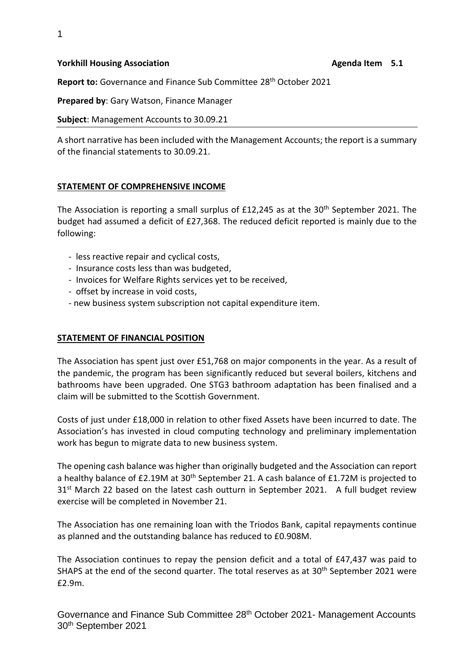#### **Yorkhill Housing Association Agenda Item 5.1 Agenda Item 5.1**

**Report to:** Governance and Finance Sub Committee 28<sup>th</sup> October 2021

**Prepared by**: Gary Watson, Finance Manager

**Subject**: Management Accounts to 30.09.21

A short narrative has been included with the Management Accounts; the report is a summary of the financial statements to 30.09.21.

### **STATEMENT OF COMPREHENSIVE INCOME**

The Association is reporting a small surplus of £12,245 as at the 30<sup>th</sup> September 2021. The budget had assumed a deficit of £27,368. The reduced deficit reported is mainly due to the following:

- less reactive repair and cyclical costs,
- Insurance costs less than was budgeted,
- Invoices for Welfare Rights services yet to be received,
- offset by increase in void costs,
- new business system subscription not capital expenditure item.

#### **STATEMENT OF FINANCIAL POSITION**

The Association has spent just over £51,768 on major components in the year. As a result of the pandemic, the program has been significantly reduced but several boilers, kitchens and bathrooms have been upgraded. One STG3 bathroom adaptation has been finalised and a claim will be submitted to the Scottish Government.

Costs of just under £18,000 in relation to other fixed Assets have been incurred to date. The Association's has invested in cloud computing technology and preliminary implementation work has begun to migrate data to new business system.

The opening cash balance was higher than originally budgeted and the Association can report a healthy balance of £2.19M at 30<sup>th</sup> September 21. A cash balance of £1.72M is projected to 31<sup>st</sup> March 22 based on the latest cash outturn in September 2021. A full budget review exercise will be completed in November 21.

The Association has one remaining loan with the Triodos Bank, capital repayments continue as planned and the outstanding balance has reduced to £0.908M.

The Association continues to repay the pension deficit and a total of £47,437 was paid to SHAPS at the end of the second quarter. The total reserves as at 30<sup>th</sup> September 2021 were £2.9m.

Governance and Finance Sub Committee 28<sup>th</sup> October 2021- Management Accounts 30 th September 2021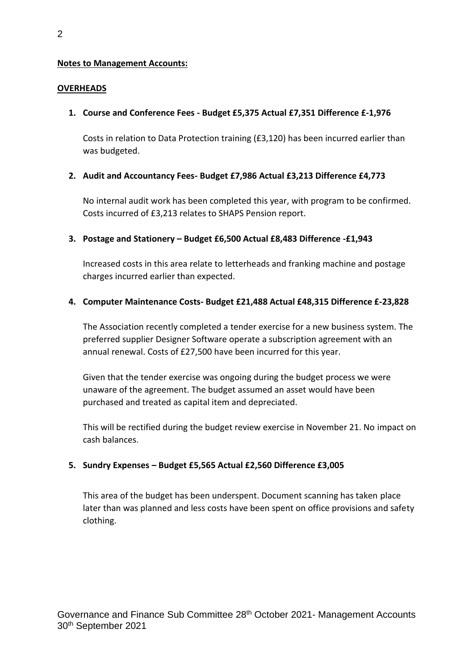### **Notes to Management Accounts:**

### **OVERHEADS**

### **1. Course and Conference Fees - Budget £5,375 Actual £7,351 Difference £-1,976**

Costs in relation to Data Protection training (£3,120) has been incurred earlier than was budgeted.

### **2. Audit and Accountancy Fees- Budget £7,986 Actual £3,213 Difference £4,773**

No internal audit work has been completed this year, with program to be confirmed. Costs incurred of £3,213 relates to SHAPS Pension report.

### **3. Postage and Stationery – Budget £6,500 Actual £8,483 Difference -£1,943**

Increased costs in this area relate to letterheads and franking machine and postage charges incurred earlier than expected.

### **4. Computer Maintenance Costs- Budget £21,488 Actual £48,315 Difference £-23,828**

The Association recently completed a tender exercise for a new business system. The preferred supplier Designer Software operate a subscription agreement with an annual renewal. Costs of £27,500 have been incurred for this year.

Given that the tender exercise was ongoing during the budget process we were unaware of the agreement. The budget assumed an asset would have been purchased and treated as capital item and depreciated.

This will be rectified during the budget review exercise in November 21. No impact on cash balances.

## **5. Sundry Expenses – Budget £5,565 Actual £2,560 Difference £3,005**

This area of the budget has been underspent. Document scanning has taken place later than was planned and less costs have been spent on office provisions and safety clothing.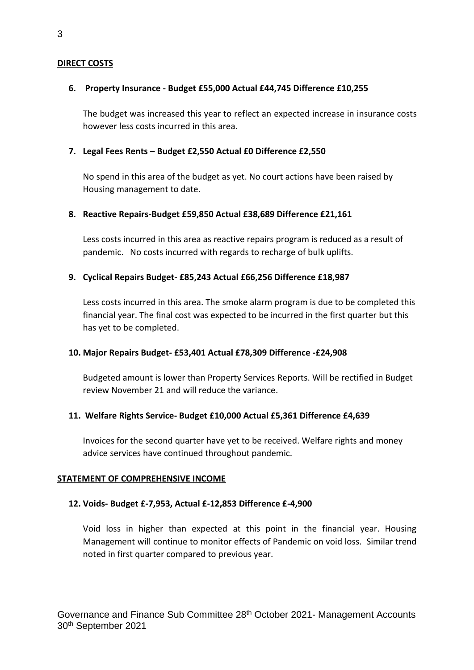### **DIRECT COSTS**

### **6. Property Insurance - Budget £55,000 Actual £44,745 Difference £10,255**

The budget was increased this year to reflect an expected increase in insurance costs however less costs incurred in this area.

### **7. Legal Fees Rents – Budget £2,550 Actual £0 Difference £2,550**

No spend in this area of the budget as yet. No court actions have been raised by Housing management to date.

### **8. Reactive Repairs-Budget £59,850 Actual £38,689 Difference £21,161**

Less costs incurred in this area as reactive repairs program is reduced as a result of pandemic. No costs incurred with regards to recharge of bulk uplifts.

## **9. Cyclical Repairs Budget- £85,243 Actual £66,256 Difference £18,987**

Less costs incurred in this area. The smoke alarm program is due to be completed this financial year. The final cost was expected to be incurred in the first quarter but this has yet to be completed.

### **10. Major Repairs Budget- £53,401 Actual £78,309 Difference -£24,908**

Budgeted amount is lower than Property Services Reports. Will be rectified in Budget review November 21 and will reduce the variance.

## **11. Welfare Rights Service- Budget £10,000 Actual £5,361 Difference £4,639**

Invoices for the second quarter have yet to be received. Welfare rights and money advice services have continued throughout pandemic.

### **STATEMENT OF COMPREHENSIVE INCOME**

### **12. Voids- Budget £-7,953, Actual £-12,853 Difference £-4,900**

Void loss in higher than expected at this point in the financial year. Housing Management will continue to monitor effects of Pandemic on void loss. Similar trend noted in first quarter compared to previous year.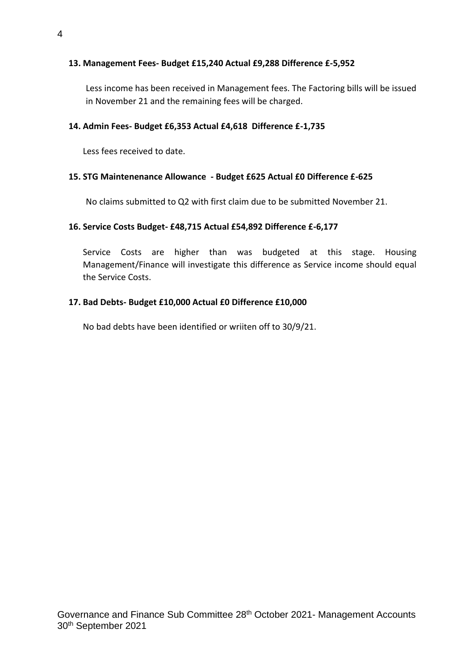## **13. Management Fees- Budget £15,240 Actual £9,288 Difference £-5,952**

Less income has been received in Management fees. The Factoring bills will be issued in November 21 and the remaining fees will be charged.

### **14. Admin Fees- Budget £6,353 Actual £4,618 Difference £-1,735**

Less fees received to date.

### **15. STG Maintenenance Allowance - Budget £625 Actual £0 Difference £-625**

No claims submitted to Q2 with first claim due to be submitted November 21.

### **16. Service Costs Budget- £48,715 Actual £54,892 Difference £-6,177**

Service Costs are higher than was budgeted at this stage. Housing Management/Finance will investigate this difference as Service income should equal the Service Costs.

### **17. Bad Debts- Budget £10,000 Actual £0 Difference £10,000**

No bad debts have been identified or wriiten off to 30/9/21.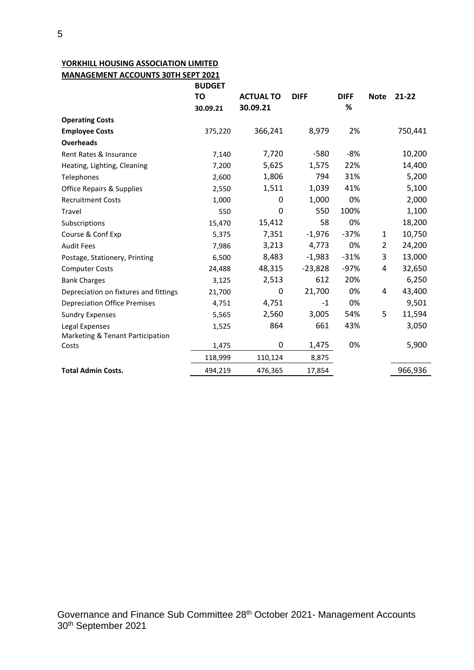# **YORKHILL HOUSING ASSOCIATION LIMITED**

**MANAGEMENT ACCOUNTS 30TH SEPT 2021**

|                                       | <b>BUDGET</b> |                  |             |             |                |           |
|---------------------------------------|---------------|------------------|-------------|-------------|----------------|-----------|
|                                       | <b>TO</b>     | <b>ACTUAL TO</b> | <b>DIFF</b> | <b>DIFF</b> | <b>Note</b>    | $21 - 22$ |
|                                       | 30.09.21      | 30.09.21         |             | %           |                |           |
| <b>Operating Costs</b>                |               |                  |             |             |                |           |
| <b>Employee Costs</b>                 | 375,220       | 366,241          | 8,979       | 2%          |                | 750,441   |
| <b>Overheads</b>                      |               |                  |             |             |                |           |
| Rent Rates & Insurance                | 7,140         | 7,720            | $-580$      | -8%         |                | 10,200    |
| Heating, Lighting, Cleaning           | 7,200         | 5,625            | 1,575       | 22%         |                | 14,400    |
| Telephones                            | 2,600         | 1,806            | 794         | 31%         |                | 5,200     |
| <b>Office Repairs &amp; Supplies</b>  | 2,550         | 1,511            | 1,039       | 41%         |                | 5,100     |
| <b>Recruitment Costs</b>              | 1,000         | 0                | 1,000       | 0%          |                | 2,000     |
| Travel                                | 550           | 0                | 550         | 100%        |                | 1,100     |
| Subscriptions                         | 15,470        | 15,412           | 58          | 0%          |                | 18,200    |
| Course & Conf Exp                     | 5,375         | 7,351            | $-1,976$    | $-37%$      | 1              | 10,750    |
| <b>Audit Fees</b>                     | 7,986         | 3,213            | 4,773       | 0%          | $\overline{2}$ | 24,200    |
| Postage, Stationery, Printing         | 6,500         | 8,483            | $-1,983$    | $-31%$      | 3              | 13,000    |
| <b>Computer Costs</b>                 | 24,488        | 48,315           | $-23,828$   | $-97%$      | 4              | 32,650    |
| <b>Bank Charges</b>                   | 3,125         | 2,513            | 612         | 20%         |                | 6,250     |
| Depreciation on fixtures and fittings | 21,700        | 0                | 21,700      | 0%          | 4              | 43,400    |
| <b>Depreciation Office Premises</b>   | 4,751         | 4,751            | $-1$        | 0%          |                | 9,501     |
| <b>Sundry Expenses</b>                | 5,565         | 2,560            | 3,005       | 54%         | 5              | 11,594    |
| Legal Expenses                        | 1,525         | 864              | 661         | 43%         |                | 3,050     |
| Marketing & Tenant Participation      |               |                  |             |             |                |           |
| Costs                                 | 1,475         | 0                | 1,475       | 0%          |                | 5,900     |
|                                       | 118,999       | 110,124          | 8,875       |             |                |           |
| <b>Total Admin Costs.</b>             | 494,219       | 476,365          | 17,854      |             |                | 966,936   |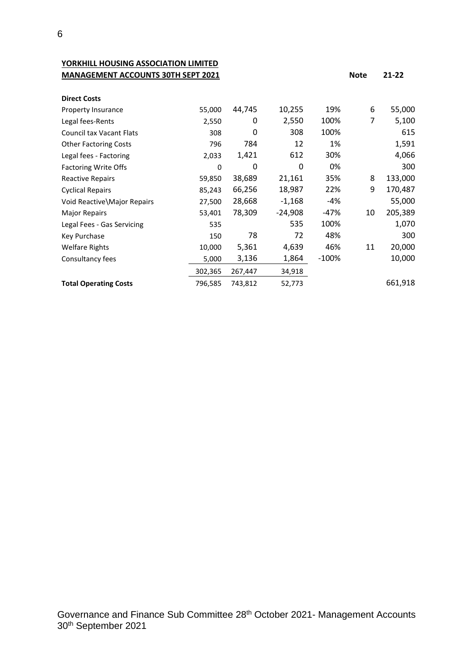**YORKHILL HOUSING ASSOCIATION LIMITED MANAGEMENT ACCOUNTS 30TH SEPT 2021 Note 21-22** 

| <b>Direct Costs</b>             |          |         |           |         |    |         |
|---------------------------------|----------|---------|-----------|---------|----|---------|
| Property Insurance              | 55,000   | 44,745  | 10,255    | 19%     | 6  | 55,000  |
| Legal fees-Rents                | 2,550    | 0       | 2,550     | 100%    | 7  | 5,100   |
| <b>Council tax Vacant Flats</b> | 308      | 0       | 308       | 100%    |    | 615     |
| <b>Other Factoring Costs</b>    | 796      | 784     | 12        | 1%      |    | 1,591   |
| Legal fees - Factoring          | 2,033    | 1,421   | 612       | 30%     |    | 4,066   |
| <b>Factoring Write Offs</b>     | $\Omega$ | 0       | 0         | 0%      |    | 300     |
| <b>Reactive Repairs</b>         | 59,850   | 38,689  | 21,161    | 35%     | 8  | 133,000 |
| <b>Cyclical Repairs</b>         | 85,243   | 66,256  | 18,987    | 22%     | 9  | 170,487 |
| Void Reactive Major Repairs     | 27,500   | 28,668  | $-1,168$  | -4%     |    | 55,000  |
| <b>Major Repairs</b>            | 53,401   | 78,309  | $-24,908$ | -47%    | 10 | 205,389 |
| Legal Fees - Gas Servicing      | 535      |         | 535       | 100%    |    | 1,070   |
| Key Purchase                    | 150      | 78      | 72        | 48%     |    | 300     |
| <b>Welfare Rights</b>           | 10,000   | 5,361   | 4,639     | 46%     | 11 | 20,000  |
| Consultancy fees                | 5,000    | 3,136   | 1,864     | $-100%$ |    | 10,000  |
|                                 | 302,365  | 267,447 | 34,918    |         |    |         |
| <b>Total Operating Costs</b>    | 796,585  | 743,812 | 52,773    |         |    | 661,918 |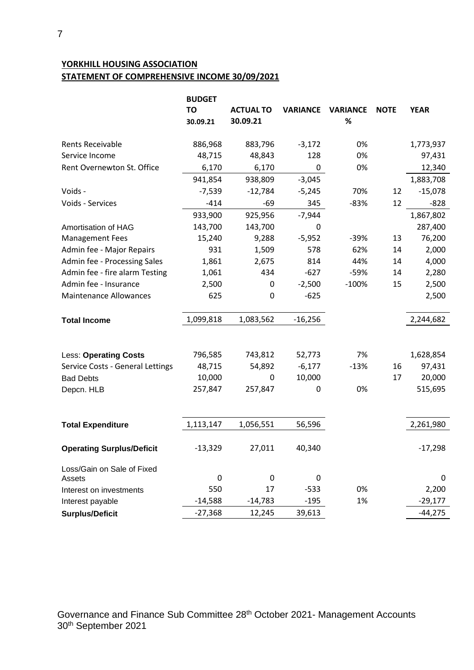# **YORKHILL HOUSING ASSOCIATION STATEMENT OF COMPREHENSIVE INCOME 30/09/2021**

|                                  | <b>BUDGET</b><br>TO | <b>ACTUAL TO</b> | <b>VARIANCE</b> | <b>VARIANCE</b> | <b>NOTE</b> | <b>YEAR</b> |
|----------------------------------|---------------------|------------------|-----------------|-----------------|-------------|-------------|
|                                  | 30.09.21            | 30.09.21         |                 | %               |             |             |
| <b>Rents Receivable</b>          | 886,968             | 883,796          | $-3,172$        | 0%              |             | 1,773,937   |
| Service Income                   | 48,715              | 48,843           | 128             | 0%              |             | 97,431      |
| Rent Overnewton St. Office       | 6,170               | 6,170            | 0               | 0%              |             | 12,340      |
|                                  | 941,854             | 938,809          | $-3,045$        |                 |             | 1,883,708   |
| Voids -                          | $-7,539$            | $-12,784$        | $-5,245$        | 70%             | 12          | $-15,078$   |
| Voids - Services                 | $-414$              | $-69$            | 345             | $-83%$          | 12          | $-828$      |
|                                  | 933,900             | 925,956          | $-7,944$        |                 |             | 1,867,802   |
| Amortisation of HAG              | 143,700             | 143,700          | 0               |                 |             | 287,400     |
| <b>Management Fees</b>           | 15,240              | 9,288            | $-5,952$        | $-39%$          | 13          | 76,200      |
| Admin fee - Major Repairs        | 931                 | 1,509            | 578             | 62%             | 14          | 2,000       |
| Admin fee - Processing Sales     | 1,861               | 2,675            | 814             | 44%             | 14          | 4,000       |
| Admin fee - fire alarm Testing   | 1,061               | 434              | $-627$          | -59%            | 14          | 2,280       |
| Admin fee - Insurance            | 2,500               | 0                | $-2,500$        | $-100%$         | 15          | 2,500       |
| <b>Maintenance Allowances</b>    | 625                 | $\mathbf 0$      | $-625$          |                 |             | 2,500       |
| <b>Total Income</b>              | 1,099,818           | 1,083,562        | $-16,256$       |                 |             | 2,244,682   |
|                                  |                     |                  |                 |                 |             |             |
| <b>Less: Operating Costs</b>     | 796,585             | 743,812          | 52,773          | 7%              |             | 1,628,854   |
| Service Costs - General Lettings | 48,715              | 54,892           | $-6,177$        | $-13%$          | 16          | 97,431      |
| <b>Bad Debts</b>                 | 10,000              | 0                | 10,000          |                 | 17          | 20,000      |
| Depcn. HLB                       | 257,847             | 257,847          | 0               | 0%              |             | 515,695     |
|                                  |                     |                  |                 |                 |             |             |
| <b>Total Expenditure</b>         | 1,113,147           | 1,056,551        | 56,596          |                 |             | 2,261,980   |
| <b>Operating Surplus/Deficit</b> | $-13,329$           | 27,011           | 40,340          |                 |             | $-17,298$   |
| Loss/Gain on Sale of Fixed       |                     |                  |                 |                 |             |             |
| Assets                           | $\mathbf 0$         | 0                | 0               |                 |             | 0           |
| Interest on investments          | 550                 | 17               | $-533$          | 0%              |             | 2,200       |
| Interest payable                 | $-14,588$           | $-14,783$        | $-195$          | 1%              |             | $-29,177$   |
| <b>Surplus/Deficit</b>           | $-27,368$           | 12,245           | 39,613          |                 |             | $-44,275$   |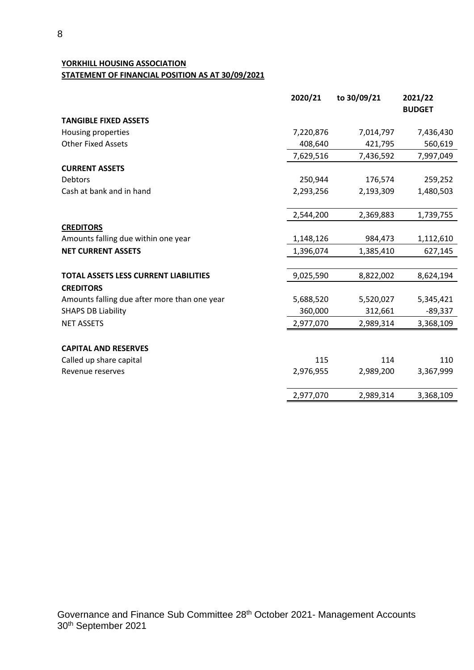## **YORKHILL HOUSING ASSOCIATION STATEMENT OF FINANCIAL POSITION AS AT 30/09/2021**

|                                              | 2020/21   | to 30/09/21 | 2021/22       |
|----------------------------------------------|-----------|-------------|---------------|
|                                              |           |             | <b>BUDGET</b> |
| <b>TANGIBLE FIXED ASSETS</b>                 |           |             |               |
| Housing properties                           | 7,220,876 | 7,014,797   | 7,436,430     |
| <b>Other Fixed Assets</b>                    | 408,640   | 421,795     | 560,619       |
|                                              | 7,629,516 | 7,436,592   | 7,997,049     |
| <b>CURRENT ASSETS</b>                        |           |             |               |
| Debtors                                      | 250,944   | 176,574     | 259,252       |
| Cash at bank and in hand                     | 2,293,256 | 2,193,309   | 1,480,503     |
|                                              |           |             |               |
|                                              | 2,544,200 | 2,369,883   | 1,739,755     |
| <b>CREDITORS</b>                             |           |             |               |
| Amounts falling due within one year          | 1,148,126 | 984,473     | 1,112,610     |
| <b>NET CURRENT ASSETS</b>                    | 1,396,074 | 1,385,410   | 627,145       |
| <b>TOTAL ASSETS LESS CURRENT LIABILITIES</b> | 9,025,590 | 8,822,002   | 8,624,194     |
| <b>CREDITORS</b>                             |           |             |               |
| Amounts falling due after more than one year | 5,688,520 | 5,520,027   | 5,345,421     |
| <b>SHAPS DB Liability</b>                    | 360,000   | 312,661     | $-89,337$     |
| <b>NET ASSETS</b>                            | 2,977,070 | 2,989,314   | 3,368,109     |
| <b>CAPITAL AND RESERVES</b>                  |           |             |               |
| Called up share capital                      | 115       | 114         | 110           |
| Revenue reserves                             | 2,976,955 | 2,989,200   | 3,367,999     |
|                                              |           |             |               |
|                                              | 2,977,070 | 2,989,314   | 3,368,109     |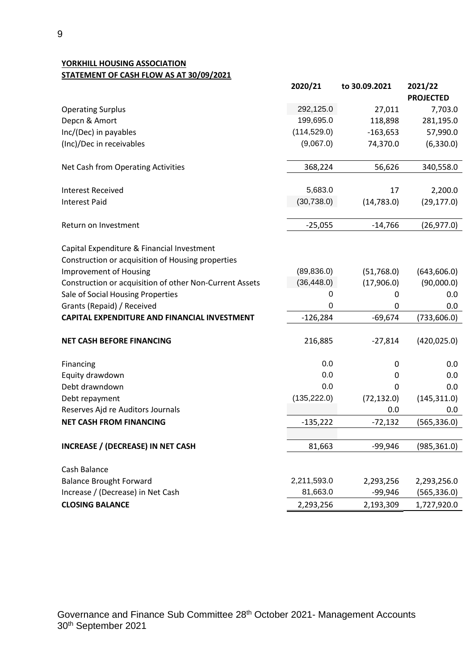**YORKHILL HOUSING ASSOCIATION STATEMENT OF CASH FLOW AS AT 30/09/2021**

|                                                                                                 | 2020/21      | to 30.09.2021 | 2021/22<br><b>PROJECTED</b> |
|-------------------------------------------------------------------------------------------------|--------------|---------------|-----------------------------|
| <b>Operating Surplus</b>                                                                        | 292,125.0    | 27,011        | 7,703.0                     |
| Depcn & Amort                                                                                   | 199,695.0    | 118,898       | 281,195.0                   |
| Inc/(Dec) in payables                                                                           | (114, 529.0) | $-163,653$    | 57,990.0                    |
| (Inc)/Dec in receivables                                                                        | (9,067.0)    | 74,370.0      | (6,330.0)                   |
| Net Cash from Operating Activities                                                              | 368,224      | 56,626        | 340,558.0                   |
| <b>Interest Received</b>                                                                        | 5,683.0      | 17            | 2,200.0                     |
| <b>Interest Paid</b>                                                                            | (30, 738.0)  | (14, 783.0)   | (29, 177.0)                 |
| Return on Investment                                                                            | $-25,055$    | $-14,766$     | (26, 977.0)                 |
| Capital Expenditure & Financial Investment<br>Construction or acquisition of Housing properties |              |               |                             |
| <b>Improvement of Housing</b>                                                                   | (89, 836.0)  | (51,768.0)    | (643, 606.0)                |
| Construction or acquisition of other Non-Current Assets                                         | (36, 448.0)  | (17,906.0)    | (90,000.0)                  |
| Sale of Social Housing Properties                                                               | 0            | 0             | 0.0                         |
| Grants (Repaid) / Received                                                                      | 0            | 0             | 0.0                         |
| <b>CAPITAL EXPENDITURE AND FINANCIAL INVESTMENT</b>                                             | $-126,284$   | $-69,674$     | (733, 606.0)                |
| <b>NET CASH BEFORE FINANCING</b>                                                                | 216,885      | $-27,814$     | (420, 025.0)                |
| Financing                                                                                       | 0.0          | 0             | 0.0                         |
| Equity drawdown                                                                                 | 0.0          | 0             | 0.0                         |
| Debt drawndown                                                                                  | 0.0          | 0             | 0.0                         |
| Debt repayment                                                                                  | (135, 222.0) | (72, 132.0)   | (145, 311.0)                |
| Reserves Ajd re Auditors Journals                                                               |              | 0.0           | 0.0                         |
| <b>NET CASH FROM FINANCING</b>                                                                  | $-135,222$   | $-72,132$     | (565, 336.0)                |
| <b>INCREASE / (DECREASE) IN NET CASH</b>                                                        | 81,663       | $-99,946$     | (985, 361.0)                |
| Cash Balance                                                                                    |              |               |                             |
| <b>Balance Brought Forward</b>                                                                  | 2,211,593.0  | 2,293,256     | 2,293,256.0                 |
| Increase / (Decrease) in Net Cash                                                               | 81,663.0     | $-99,946$     | (565, 336.0)                |
| <b>CLOSING BALANCE</b>                                                                          | 2,293,256    | 2,193,309     | 1,727,920.0                 |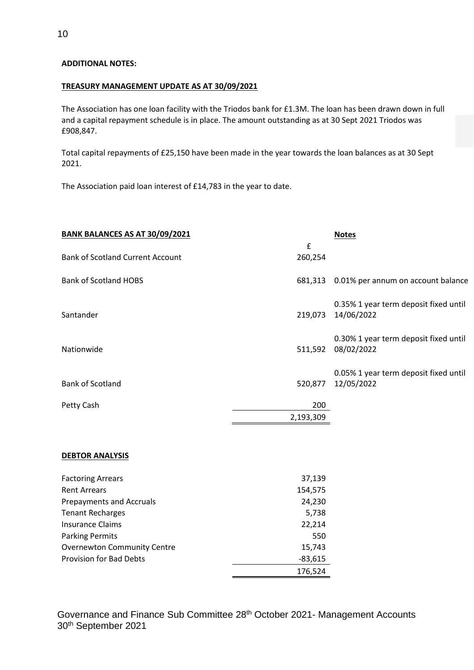#### **ADDITIONAL NOTES:**

#### **TREASURY MANAGEMENT UPDATE AS AT 30/09/2021**

The Association has one loan facility with the Triodos bank for £1.3M. The loan has been drawn down in full and a capital repayment schedule is in place. The amount outstanding as at 30 Sept 2021 Triodos was £908,847.

Total capital repayments of £25,150 have been made in the year towards the loan balances as at 30 Sept 2021.

The Association paid loan interest of £14,783 in the year to date.

| BANK BALANCES AS AT 30/09/2021          |                  | <b>Notes</b>                                        |
|-----------------------------------------|------------------|-----------------------------------------------------|
| <b>Bank of Scotland Current Account</b> | £<br>260,254     |                                                     |
| <b>Bank of Scotland HOBS</b>            | 681,313          | 0.01% per annum on account balance                  |
| Santander                               | 219,073          | 0.35% 1 year term deposit fixed until<br>14/06/2022 |
| Nationwide                              | 511,592          | 0.30% 1 year term deposit fixed until<br>08/02/2022 |
| <b>Bank of Scotland</b>                 | 520,877          | 0.05% 1 year term deposit fixed until<br>12/05/2022 |
| Petty Cash                              | 200<br>2,193,309 |                                                     |

#### **DEBTOR ANALYSIS**

| <b>Factoring Arrears</b>           | 37,139    |
|------------------------------------|-----------|
| <b>Rent Arrears</b>                | 154,575   |
| <b>Prepayments and Accruals</b>    | 24,230    |
| <b>Tenant Recharges</b>            | 5,738     |
| <b>Insurance Claims</b>            | 22,214    |
| <b>Parking Permits</b>             | 550       |
| <b>Overnewton Community Centre</b> | 15,743    |
| <b>Provision for Bad Debts</b>     | $-83,615$ |
|                                    | 176,524   |

Governance and Finance Sub Committee 28<sup>th</sup> October 2021- Management Accounts 30 th September 2021